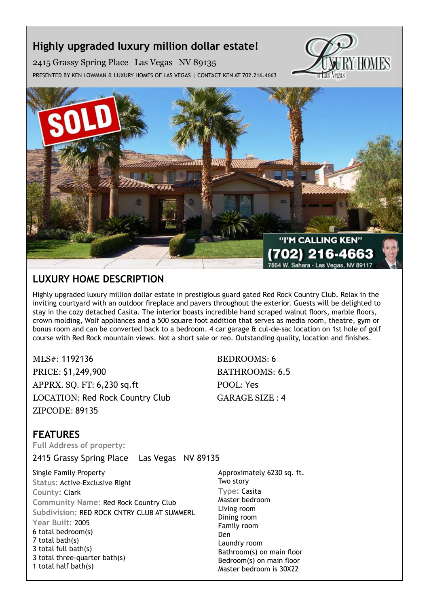# **Highly upgraded luxury million dollar estate!**

2415 Grassy Spring Place Las Vegas NV 89135 Presented by Ken Lowman & Luxury Homes of Las Vegas | Contact Ken at 702.216.4663





## **Luxury Home description**

Highly upgraded luxury million dollar estate in prestigious guard gated Red Rock Country Club. Relax in the inviting courtyard with an outdoor fireplace and pavers throughout the exterior. Guests will be delighted to stay in the cozy detached Casita. The interior boasts incredible hand scraped walnut floors, marble floors, crown molding, Wolf appliances and a 500 square foot addition that serves as media room, theatre, gym or bonus room and can be converted back to a bedroom. 4 car garage & cul-de-sac location on 1st hole of golf course with Red Rock mountain views. Not a short sale or reo. Outstanding quality, location and finishes.

MLS#: 1192136 BEDROOMS: 6 PRICE: \$1,249,900 BATHROOMS: 6.5 APPRX. SQ. FT: 6,230 sq.ft POOL: Yes LOCATION: Red Rock Country Club GARAGE SIZE : 4 ZIPCODE: 89135

### **features**

**Full Address of property:**

2415 Grassy Spring Place Las Vegas NV 89135

Single Family Property **Status:** Active-Exclusive Right **County:** Clark **Community Name:** Red Rock Country Club **Subdivision:** RED ROCK CNTRY CLUB AT SUMMERL **Year Built:** 2005 6 total bedroom(s) 7 total bath(s) 3 total full bath(s) 3 total three-quarter bath(s) 1 total half bath(s)

Approximately 6230 sq. ft. Two story **Type:** Casita Master bedroom Living room Dining room Family room Den Laundry room Bathroom(s) on main floor Bedroom(s) on main floor Master bedroom is 30X22